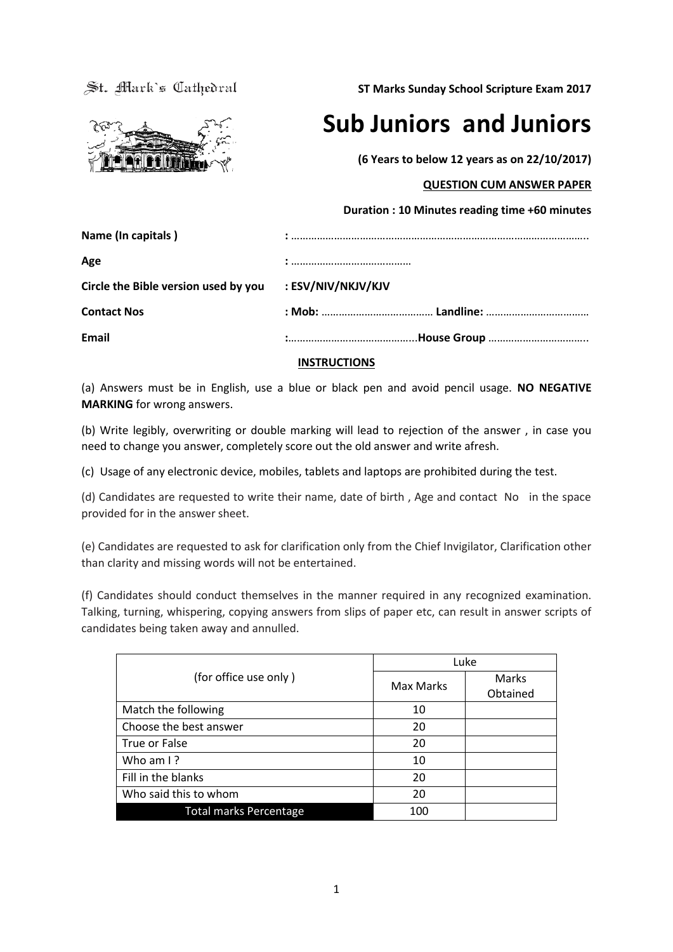St. Mark's Cathedral

**ST Marks Sunday School Scripture Exam 2017**



**Sub Juniors and Juniors** 

**(6 Years to below 12 years as on 22/10/2017)**

## **QUESTION CUM ANSWER PAPER**

# **Duration : 10 Minutes reading time +60 minutes**

| Circle the Bible version used by you : ESV/NIV/NKJV/KJV |
|---------------------------------------------------------|
|                                                         |
|                                                         |
|                                                         |

## **INSTRUCTIONS**

(a) Answers must be in English, use a blue or black pen and avoid pencil usage. **NO NEGATIVE MARKING** for wrong answers.

(b) Write legibly, overwriting or double marking will lead to rejection of the answer , in case you need to change you answer, completely score out the old answer and write afresh.

(c) Usage of any electronic device, mobiles, tablets and laptops are prohibited during the test.

(d) Candidates are requested to write their name, date of birth , Age and contact No in the space provided for in the answer sheet.

(e) Candidates are requested to ask for clarification only from the Chief Invigilator, Clarification other than clarity and missing words will not be entertained.

(f) Candidates should conduct themselves in the manner required in any recognized examination. Talking, turning, whispering, copying answers from slips of paper etc, can result in answer scripts of candidates being taken away and annulled.

|                               |           | Luke     |
|-------------------------------|-----------|----------|
| (for office use only)         | Max Marks | Marks    |
|                               |           | Obtained |
| Match the following           | 10        |          |
| Choose the best answer        | 20        |          |
| True or False                 | 20        |          |
| Who am I?                     | 10        |          |
| Fill in the blanks            | 20        |          |
| Who said this to whom         | 20        |          |
| <b>Total marks Percentage</b> | 100       |          |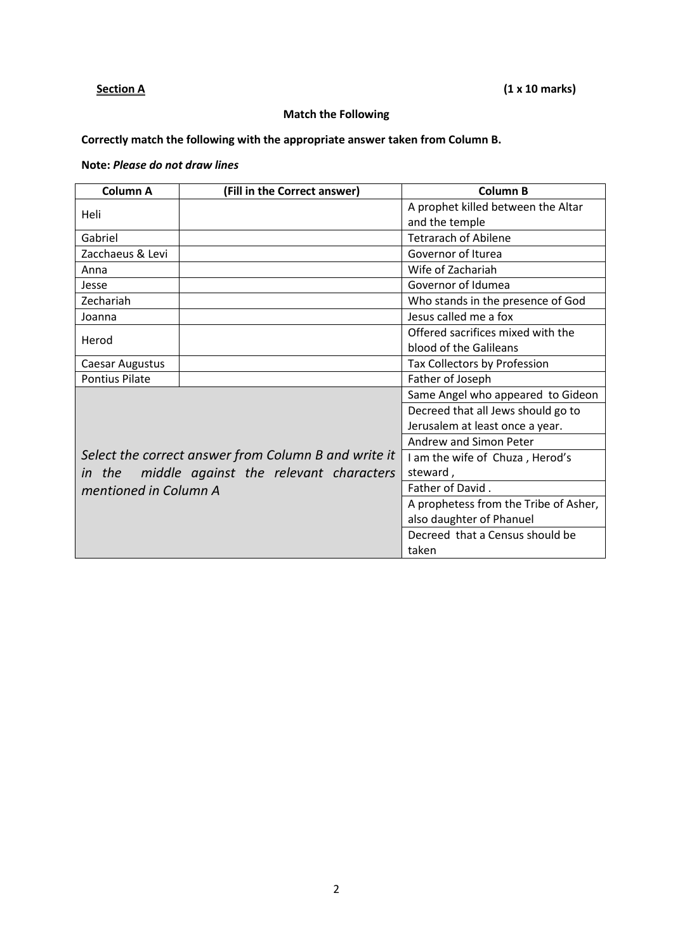# **Section A** (1 x 10 marks)

# **Match the Following**

# **Correctly match the following with the appropriate answer taken from Column B.**

# **Note:** *Please do not draw lines*

| Column A              | (Fill in the Correct answer)                         | <b>Column B</b>                       |
|-----------------------|------------------------------------------------------|---------------------------------------|
| Heli                  |                                                      | A prophet killed between the Altar    |
|                       |                                                      | and the temple                        |
| Gabriel               |                                                      | <b>Tetrarach of Abilene</b>           |
| Zacchaeus & Levi      |                                                      | Governor of Iturea                    |
| Anna                  |                                                      | Wife of Zachariah                     |
| Jesse                 |                                                      | Governor of Idumea                    |
| Zechariah             |                                                      | Who stands in the presence of God     |
| Joanna                |                                                      | Jesus called me a fox                 |
| Herod                 |                                                      | Offered sacrifices mixed with the     |
|                       |                                                      | blood of the Galileans                |
| Caesar Augustus       |                                                      | Tax Collectors by Profession          |
| <b>Pontius Pilate</b> |                                                      | Father of Joseph                      |
|                       |                                                      | Same Angel who appeared to Gideon     |
|                       |                                                      | Decreed that all Jews should go to    |
|                       |                                                      | Jerusalem at least once a year.       |
|                       |                                                      | Andrew and Simon Peter                |
|                       | Select the correct answer from Column B and write it | I am the wife of Chuza, Herod's       |
| <i>in</i> the         | middle against the relevant characters               | steward,                              |
| mentioned in Column A |                                                      | Father of David.                      |
|                       |                                                      | A prophetess from the Tribe of Asher, |
|                       |                                                      | also daughter of Phanuel              |
|                       |                                                      | Decreed that a Census should be       |
|                       |                                                      | taken                                 |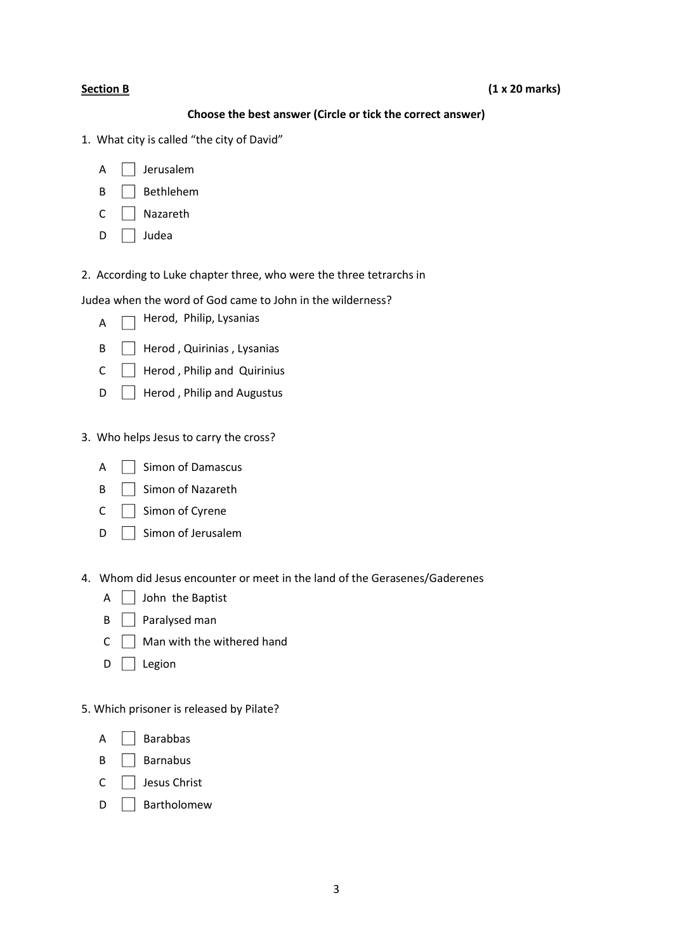| Choose the best answer (Circle or tick the correct answer)                                                                                                                  |
|-----------------------------------------------------------------------------------------------------------------------------------------------------------------------------|
| 1. What city is called "the city of David"                                                                                                                                  |
| Jerusalem<br>A                                                                                                                                                              |
| Bethlehem<br>B                                                                                                                                                              |
| Nazareth<br>C                                                                                                                                                               |
| Judea<br>D                                                                                                                                                                  |
| 2. According to Luke chapter three, who were the three tetrarchs in                                                                                                         |
| Judea when the word of God came to John in the wilderness?                                                                                                                  |
| Herod, Philip, Lysanias<br>A                                                                                                                                                |
| Herod, Quirinias, Lysanias<br>B                                                                                                                                             |
| Herod, Philip and Quirinius<br>C                                                                                                                                            |
| Herod, Philip and Augustus<br>D                                                                                                                                             |
| 3. Who helps Jesus to carry the cross?<br><b>Simon of Damascus</b><br>A<br>Simon of Nazareth<br>B<br>Simon of Cyrene<br>C<br>Simon of Jerusalem<br>D                        |
| 4. Whom did Jesus encounter or meet in the land of the Gerasenes/Gaderenes<br>A<br>John the Baptist<br>Paralysed man<br>В<br>Man with the withered hand<br>С<br>D<br>Legion |
| 5. Which prisoner is released by Pilate?                                                                                                                                    |
| <b>Barabbas</b><br>A                                                                                                                                                        |
| <b>Barnabus</b><br>B                                                                                                                                                        |

- C **Jesus Christ**
- D **Bartholomew**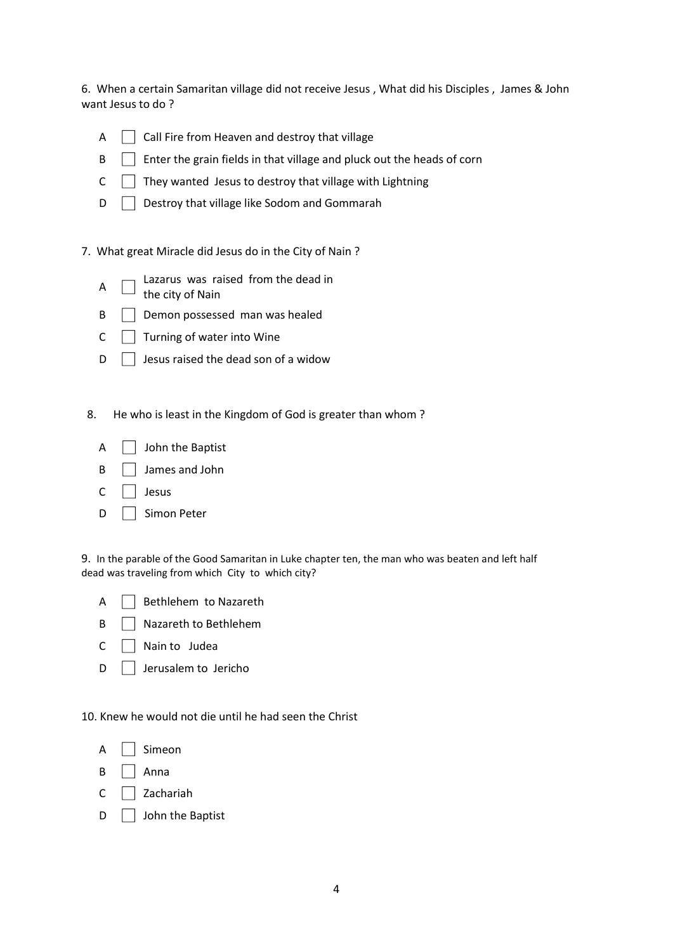6. When a certain Samaritan village did not receive Jesus , What did his Disciples , James & John want Jesus to do ?

- $\mathsf{A} \quad \Box$  Call Fire from Heaven and destroy that village
- B **Enter the grain fields in that village and pluck out the heads of corn**
- $C \quad \Box$  They wanted Jesus to destroy that village with Lightning
- D **D** Destroy that village like Sodom and Gommarah

### 7. What great Miracle did Jesus do in the City of Nain ?

- A Lazarus was raised from the dead in
	- the city of Nain
- $\mathsf{B} \quad \Box$  Demon possessed man was healed
- $C \cap$  Turning of water into Wine
- $\Box$  Jesus raised the dead son of a widow
- 8. He who is least in the Kingdom of God is greater than whom ?
	- $\overline{A}$   $\overline{A}$  John the Baptist
	- B | James and John
	- $C$   $\Box$  Jesus
	- D | Simon Peter

9. In the parable of the Good Samaritan in Luke chapter ten, the man who was beaten and left half dead was traveling from which City to which city?

- $A \cap$  Bethlehem to Nazareth
- B **Nazareth to Bethlehem**
- $C \cap$  Nain to Judea
- $D$  Jerusalem to Jericho

10. Knew he would not die until he had seen the Christ

 $A \cap$  Simeon

- $\overline{B}$   $\overline{A}$  Anna
- $C \cap Z$ achariah
- D **John the Baptist**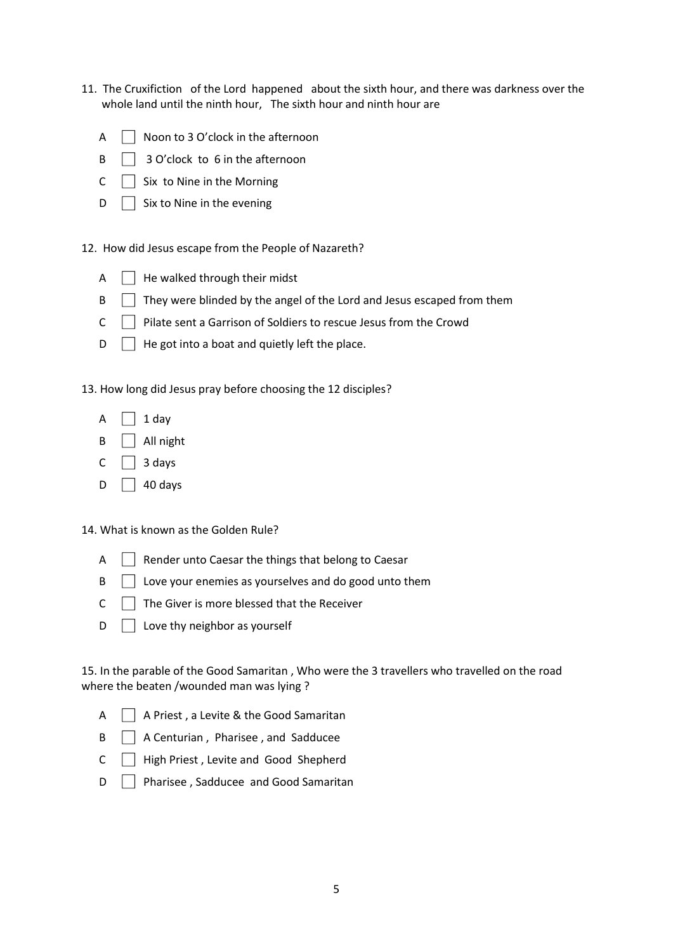- 11. The Cruxifiction of the Lord happened about the sixth hour, and there was darkness over the whole land until the ninth hour, The sixth hour and ninth hour are
	- $\overline{A}$   $\overline{\phantom{a}}$  Noon to 3 O'clock in the afternoon
	- $\mathsf{B} \quad \Box \quad \mathsf{3}$  O'clock to 6 in the afternoon
	- $C \cap S$ ix to Nine in the Morning
	- $\Box$  Six to Nine in the evening

### 12. How did Jesus escape from the People of Nazareth?

| A |  | $\Box$ He walked through their midst |  |  |  |
|---|--|--------------------------------------|--|--|--|
|---|--|--------------------------------------|--|--|--|

- B They were blinded by the angel of the Lord and Jesus escaped from them
- $C \cap$  Pilate sent a Garrison of Soldiers to rescue Jesus from the Crowd
- $\Box$  He got into a boat and quietly left the place.

13. How long did Jesus pray before choosing the 12 disciples?

- $\overline{A}$  1 day
- $\mathsf{B}$   $\Box$  All night
- C  $\Box$  3 days
- $D \begin{array}{|c|} 40 \text{ days} \end{array}$

14. What is known as the Golden Rule?

- A **Render unto Caesar the things that belong to Caesar**
- $\mathsf{B} \quad \Box$  Love your enemies as yourselves and do good unto them
- $C \cap T$  The Giver is more blessed that the Receiver
- $D \cap$  Love thy neighbor as yourself

15. In the parable of the Good Samaritan , Who were the 3 travellers who travelled on the road where the beaten /wounded man was lying ?

- A | A Priest, a Levite & the Good Samaritan
- $\mathsf{B} \quad \Box$  A Centurian, Pharisee, and Sadducee
- C High Priest , Levite and Good Shepherd
- D | Pharisee, Sadducee and Good Samaritan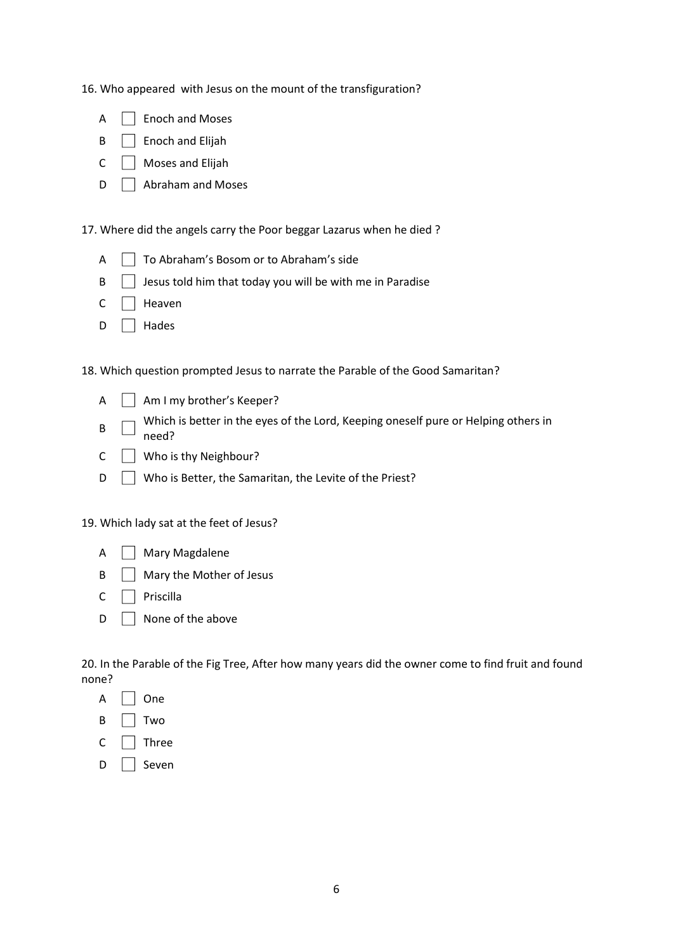16. Who appeared with Jesus on the mount of the transfiguration?

| Enoch and Moses |
|-----------------|
|-----------------|

- B **B** Enoch and Elijah
- $C \cap$  Moses and Elijah
- $\Box$  Abraham and Moses

17. Where did the angels carry the Poor beggar Lazarus when he died ?

- A  $\Box$  To Abraham's Bosom or to Abraham's side
- $\mathsf{B} \quad \Box$  Jesus told him that today you will be with me in Paradise
- $C \cap$  Heaven
- D Hades

18. Which question prompted Jesus to narrate the Parable of the Good Samaritan?

- A Am I my brother's Keeper?
- B Which is better in the eyes of the Lord, Keeping oneself pure or Helping others in need?
- C Who is thy Neighbour?
- D **No** is Better, the Samaritan, the Levite of the Priest?

19. Which lady sat at the feet of Jesus?

| А | Mary Magdalene |  |
|---|----------------|--|
|---|----------------|--|

- $\mathsf{B} \quad \Box$  Mary the Mother of Jesus
- $C \Box$  Priscilla
- $\Box$  None of the above

20. In the Parable of the Fig Tree, After how many years did the owner come to find fruit and found none?

- B Two
- $C \Box$  Three
- $D \cap$  Seven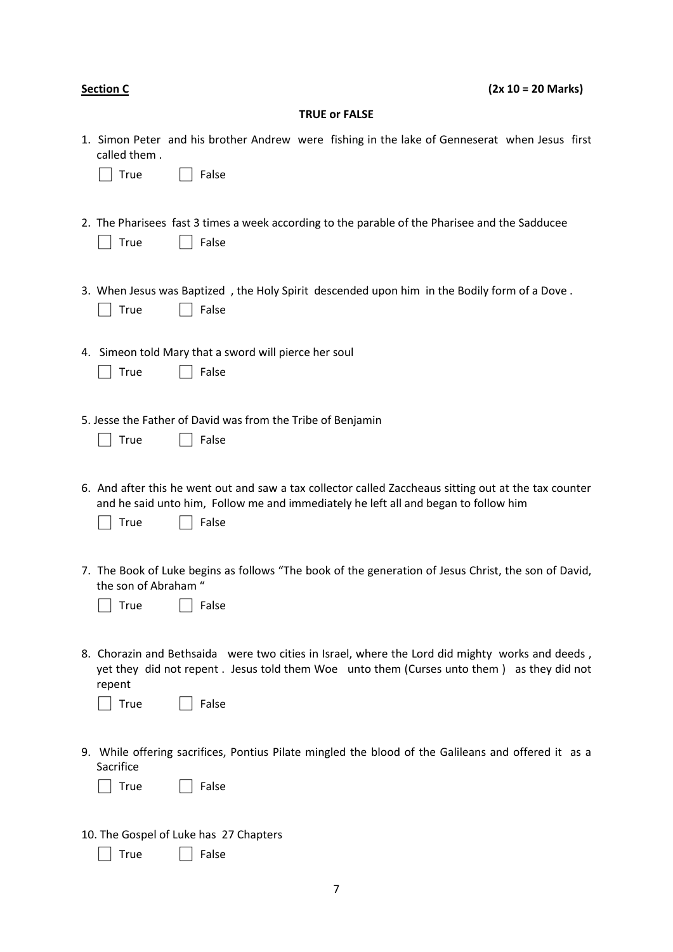| <b>Section C</b>             |                                                                                                                                                                                                        | $(2x 10 = 20 Marks)$ |
|------------------------------|--------------------------------------------------------------------------------------------------------------------------------------------------------------------------------------------------------|----------------------|
|                              | <b>TRUE or FALSE</b>                                                                                                                                                                                   |                      |
| called them.<br><b>True</b>  | 1. Simon Peter and his brother Andrew were fishing in the lake of Genneserat when Jesus first<br>False                                                                                                 |                      |
| <b>True</b>                  | 2. The Pharisees fast 3 times a week according to the parable of the Pharisee and the Sadducee<br>False                                                                                                |                      |
| <b>True</b>                  | 3. When Jesus was Baptized, the Holy Spirit descended upon him in the Bodily form of a Dove.<br>False                                                                                                  |                      |
| <b>True</b>                  | 4. Simeon told Mary that a sword will pierce her soul<br>False                                                                                                                                         |                      |
| <b>True</b>                  | 5. Jesse the Father of David was from the Tribe of Benjamin<br>False                                                                                                                                   |                      |
| <b>True</b>                  | 6. And after this he went out and saw a tax collector called Zaccheaus sitting out at the tax counter<br>and he said unto him, Follow me and immediately he left all and began to follow him<br>False  |                      |
| the son of Abraham "<br>True | 7. The Book of Luke begins as follows "The book of the generation of Jesus Christ, the son of David,<br>False                                                                                          |                      |
| repent<br><b>True</b>        | 8. Chorazin and Bethsaida were two cities in Israel, where the Lord did mighty works and deeds,<br>yet they did not repent . Jesus told them Woe unto them (Curses unto them) as they did not<br>False |                      |
| Sacrifice<br><b>True</b>     | 9. While offering sacrifices, Pontius Pilate mingled the blood of the Galileans and offered it as a<br>False                                                                                           |                      |
|                              | 10. The Gospel of Luke has 27 Chapters                                                                                                                                                                 |                      |

True False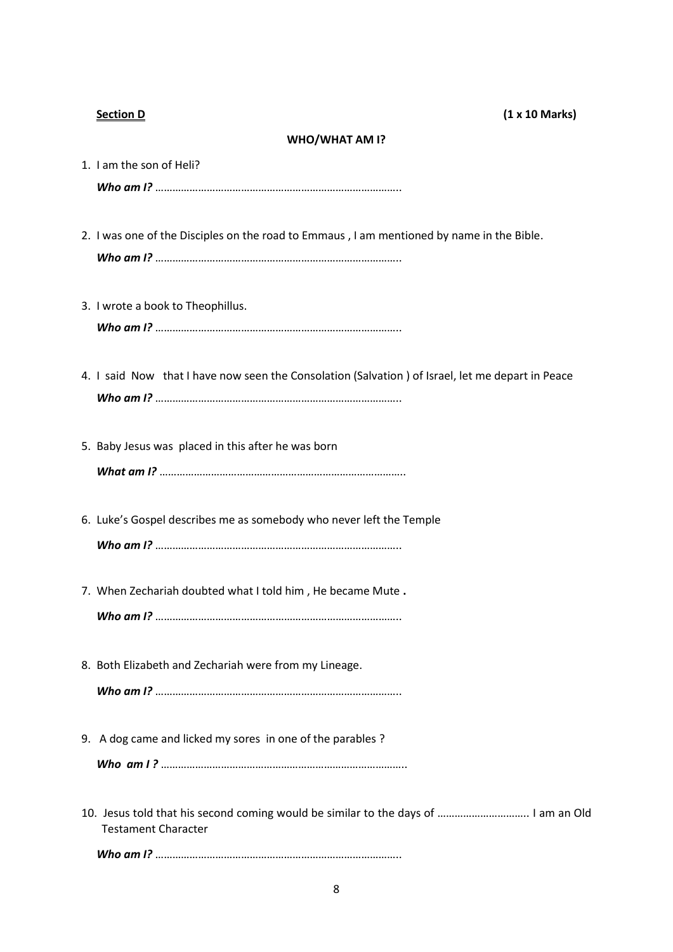### **WHO/WHAT AM I?**

1. I am the son of Heli? *Who am I?* ………………………………………………………………………….. 2. I was one of the Disciples on the road to Emmaus , I am mentioned by name in the Bible. *Who am I?* ………………………………………………………………………….. 3. I wrote a book to Theophillus. *Who am I?* ………………………………………………………………………….. 4. I said Now that I have now seen the Consolation (Salvation ) of Israel, let me depart in Peace *Who am I?* ………………………………………………………………………….. 5. Baby Jesus was placed in this after he was born

*What am I?* …………………………………………………………………………..

- 6. Luke's Gospel describes me as somebody who never left the Temple *Who am I?* …………………………………………………………………………..
- 7. When Zechariah doubted what I told him , He became Mute **.**

*Who am I?* …………………………………………………………………………..

- 8. Both Elizabeth and Zechariah were from my Lineage. *Who am I?* …………………………………………………………………………..
- 9. A dog came and licked my sores in one of the parables ?

*Who am I ?* …………………………………………………………………………..

10. Jesus told that his second coming would be similar to the days of ………………………….. I am an Old Testament Character

*Who am I?* …………………………………………………………………………..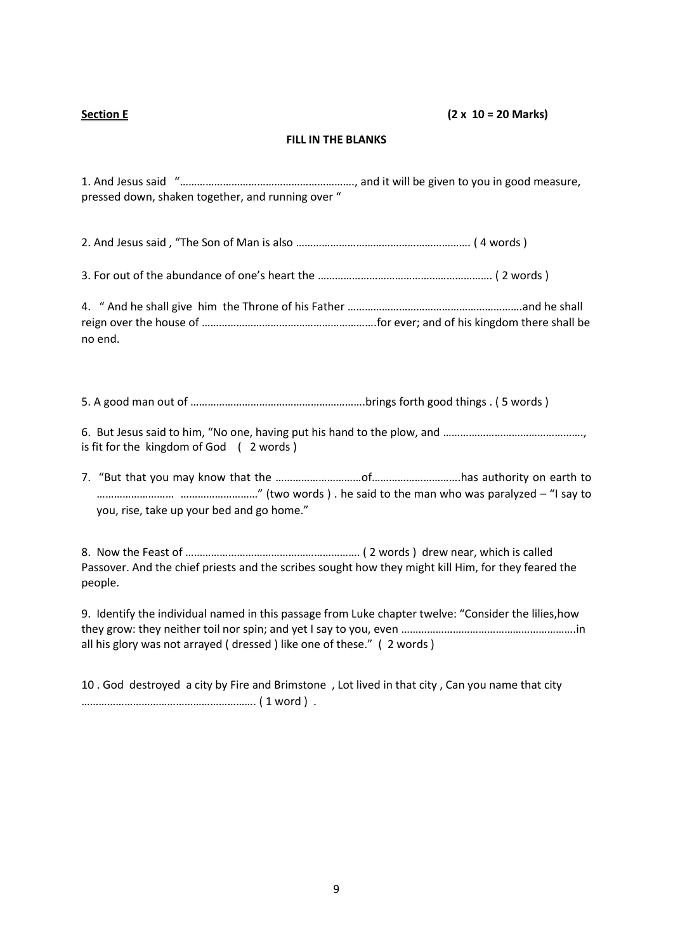# **Section E (2 x 10 = 20 Marks)**

## **FILL IN THE BLANKS**

1. And Jesus said "……………………………………………………., and it will be given to you in good measure, pressed down, shaken together, and running over "

2. And Jesus said , "The Son of Man is also ……………………………………………………. ( 4 words )

3. For out of the abundance of one's heart the ……………………………………………………. ( 2 words )

4. " And he shall give him the Throne of his Father …………………………………………………….and he shall reign over the house of …………………………………………………….for ever; and of his kingdom there shall be no end.

5. A good man out of …………………………………………………….brings forth good things . ( 5 words )

6. But Jesus said to him, "No one, having put his hand to the plow, and …………………………………………., is fit for the kingdom of God ( 2 words )

7. "But that you may know that the …………………………of………………………….has authority on earth to ……………………… ………………………" (two words ) . he said to the man who was paralyzed – "I say to you, rise, take up your bed and go home."

8. Now the Feast of ……………………………………………………. ( 2 words ) drew near, which is called Passover. And the chief priests and the scribes sought how they might kill Him, for they feared the people.

9. Identify the individual named in this passage from Luke chapter twelve: "Consider the lilies,how they grow: they neither toil nor spin; and yet I say to you, even …………………………………………………….in all his glory was not arrayed ( dressed ) like one of these." ( 2 words )

10 . God destroyed a city by Fire and Brimstone , Lot lived in that city , Can you name that city ……………………………………………………. ( 1 word ) .